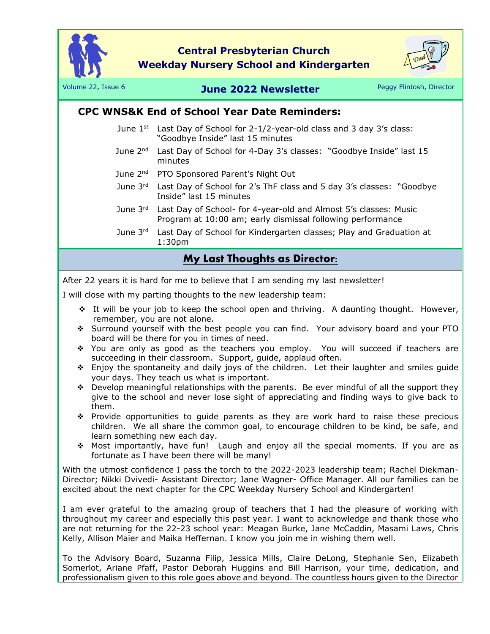

**Central Presbyterian Church Weekday Nursery School and Kindergarten**



## Volume 22, Issue 6 **June 2022 Newsletter** Peggy Flintosh, Director

## **CPC WNS&K End of School Year Date Reminders:**

- June  $1^{st}$  Last Day of School for 2-1/2-year-old class and 3 day 3's class: "Goodbye Inside" last 15 minutes
- June 2<sup>nd</sup> Last Day of School for 4-Day 3's classes: "Goodbye Inside" last 15 minutes
- June 2<sup>nd</sup> PTO Sponsored Parent's Night Out
- June  $3<sup>rd</sup>$  Last Day of School for 2's ThF class and 5 day 3's classes: "Goodbye Inside" last 15 minutes
- June 3<sup>rd</sup> Last Day of School- for 4-year-old and Almost 5's classes: Music Program at 10:00 am; early dismissal following performance
- June  $3<sup>rd</sup>$  Last Day of School for Kindergarten classes; Play and Graduation at 1:30pm

## **My Last Thoughts as Director:**

After 22 years it is hard for me to believe that I am sending my last newsletter!

I will close with my parting thoughts to the new leadership team:

- ❖ It will be your job to keep the school open and thriving. A daunting thought. However, remember, you are not alone.
- ❖ Surround yourself with the best people you can find. Your advisory board and your PTO board will be there for you in times of need.
- ❖ You are only as good as the teachers you employ. You will succeed if teachers are succeeding in their classroom. Support, guide, applaud often.
- ❖ Enjoy the spontaneity and daily joys of the children. Let their laughter and smiles guide your days. They teach us what is important.
- ❖ Develop meaningful relationships with the parents. Be ever mindful of all the support they give to the school and never lose sight of appreciating and finding ways to give back to them.
- ❖ Provide opportunities to guide parents as they are work hard to raise these precious children. We all share the common goal, to encourage children to be kind, be safe, and learn something new each day.
- ❖ Most importantly, have fun! Laugh and enjoy all the special moments. If you are as fortunate as I have been there will be many!

With the utmost confidence I pass the torch to the 2022-2023 leadership team; Rachel Diekman-Director; Nikki Dvivedi- Assistant Director; Jane Wagner- Office Manager. All our families can be excited about the next chapter for the CPC Weekday Nursery School and Kindergarten!

I am ever grateful to the amazing group of teachers that I had the pleasure of working with throughout my career and especially this past year. I want to acknowledge and thank those who are not returning for the 22-23 school year: Meagan Burke, Jane McCaddin, Masami Laws, Chris Kelly, Allison Maier and Maika Heffernan. I know you join me in wishing them well.

To the Advisory Board, Suzanna Filip, Jessica Mills, Claire DeLong, Stephanie Sen, Elizabeth Somerlot, Ariane Pfaff, Pastor Deborah Huggins and Bill Harrison, your time, dedication, and professionalism given to this role goes above and beyond. The countless hours given to the Director